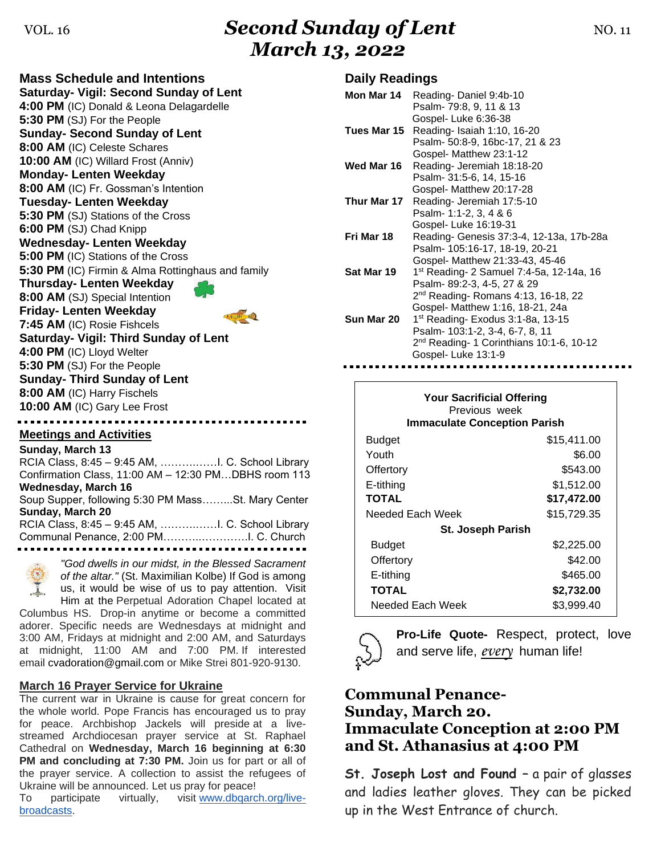# VOL. 16 **Second Sunday of Lent NO. 11** NO. 11 *March 13, 2022*

**Mass Schedule and Intentions Saturday- Vigil: Second Sunday of Lent 4:00 PM** (IC) Donald & Leona Delagardelle **5:30 PM** (SJ) For the People **Sunday- Second Sunday of Lent 8:00 AM** (IC) Celeste Schares **10:00 AM** (IC) Willard Frost (Anniv) **Monday- Lenten Weekday 8:00 AM** (IC) Fr. Gossman's Intention **Tuesday- Lenten Weekday 5:30 PM** (SJ) Stations of the Cross **6:00 PM** (SJ) Chad Knipp **Wednesday- Lenten Weekday 5:00 PM** (IC) Stations of the Cross **5:30 PM** (IC) Firmin & Alma Rottinghaus and family **Thursday- Lenten Weekday 8:00 AM** (SJ) Special Intention **Friday- Lenten Weekday**   $\frac{1}{2}$ **7:45 AM** (IC) Rosie Fishcels **Saturday- Vigil: Third Sunday of Lent 4:00 PM** (IC) Lloyd Welter **5:30 PM** (SJ) For the People **Sunday- Third Sunday of Lent 8:00 AM** (IC) Harry Fischels **10:00 AM** (IC) Gary Lee Frost

### **Meetings and Activities**

**Sunday, March 13** RCIA Class, 8:45 – 9:45 AM, ……….……I. C. School Library Confirmation Class, 11:00 AM – 12:30 PM…DBHS room 113 **Wednesday, March 16** Soup Supper, following 5:30 PM Mass……...St. Mary Center **Sunday, March 20** RCIA Class, 8:45 – 9:45 AM, ……….……I. C. School Library Communal Penance, 2:00 PM………..………….I. C. Church



*"God dwells in our midst, in the Blessed Sacrament of the altar."* (St. Maximilian Kolbe) If God is among us, it would be wise of us to pay attention. Visit Him at the Perpetual Adoration Chapel located at

Columbus HS. Drop-in anytime or become a committed adorer. Specific needs are Wednesdays at midnight and 3:00 AM, Fridays at midnight and 2:00 AM, and Saturdays at midnight, 11:00 AM and 7:00 PM. If interested email [cvadoration@gmail.com](mailto:cvadoration@gmail.com) or Mike Strei 801-920-9130.

### **March 16 Prayer Service for Ukraine**

The current war in Ukraine is cause for great concern for the whole world. Pope Francis has encouraged us to pray for peace. Archbishop Jackels will preside at a livestreamed Archdiocesan prayer service at St. Raphael Cathedral on **Wednesday, March 16 beginning at 6:30 PM and concluding at 7:30 PM.** Join us for part or all of the prayer service. A collection to assist the refugees of Ukraine will be announced. Let us pray for peace!

To participate virtually, visit [www.dbqarch.org/live](http://www.dbqarch.org/live-broadcasts)[broadcasts.](http://www.dbqarch.org/live-broadcasts)

### **Daily Readings**

| Mon Mar 14  | Reading-Daniel 9:4b-10                               |
|-------------|------------------------------------------------------|
|             | Psalm- 79:8, 9, 11 & 13                              |
|             | Gospel-Luke 6:36-38                                  |
| Tues Mar 15 | Reading- Isaiah 1:10, 16-20                          |
|             | Psalm- 50:8-9, 16bc-17, 21 & 23                      |
|             | Gospel- Matthew 23:1-12                              |
| Wed Mar 16  | Reading- Jeremiah 18:18-20                           |
|             | Psalm- 31:5-6, 14, 15-16                             |
|             | Gospel- Matthew 20:17-28                             |
| Thur Mar 17 | Reading- Jeremiah 17:5-10                            |
|             | Psalm- 1:1-2, 3, 4 & 6                               |
|             | Gospel- Luke 16:19-31                                |
| Fri Mar 18  | Reading- Genesis 37:3-4, 12-13a, 17b-28a             |
|             | Psalm- 105:16-17, 18-19, 20-21                       |
|             | Gospel- Matthew 21:33-43, 45-46                      |
| Sat Mar 19  | 1 <sup>st</sup> Reading- 2 Samuel 7:4-5a, 12-14a, 16 |
|             | Psalm-89:2-3, 4-5, 27 & 29                           |
|             | $2nd$ Reading- Romans 4:13, 16-18, 22                |
|             | Gospel- Matthew 1:16, 18-21, 24a                     |
| Sun Mar 20  | 1 <sup>st</sup> Reading- Exodus 3:1-8a, 13-15        |
|             | Psalm- 103:1-2, 3-4, 6-7, 8, 11                      |
|             | 2 <sup>nd</sup> Reading-1 Corinthians 10:1-6, 10-12  |
|             | Gospel-Luke 13:1-9                                   |
|             |                                                      |

| <b>Your Sacrificial Offering</b><br>Previous week<br><b>Immaculate Conception Parish</b> |             |  |  |
|------------------------------------------------------------------------------------------|-------------|--|--|
| Budget                                                                                   | \$15,411.00 |  |  |
| Youth                                                                                    | \$6.00      |  |  |
| Offertory                                                                                | \$543.00    |  |  |
| E-tithing                                                                                | \$1,512.00  |  |  |
| <b>TOTAL</b>                                                                             | \$17,472.00 |  |  |
| Needed Each Week                                                                         | \$15,729.35 |  |  |
| St. Joseph Parish                                                                        |             |  |  |
| Budget                                                                                   | \$2,225.00  |  |  |
| Offertory                                                                                | \$42.00     |  |  |
| E-tithing                                                                                | \$465.00    |  |  |
| TOTAL                                                                                    | \$2,732.00  |  |  |
| Needed Each Week                                                                         | \$3,999.40  |  |  |



**Pro-Life Quote-** Respect, protect, love and serve life, *every* human life!

### **Communal Penance-Sunday, March 20. Immaculate Conception at 2:00 PM and St. Athanasius at 4:00 PM**

**St. Joseph Lost and Found –** a pair of glasses and ladies leather gloves. They can be picked up in the West Entrance of church.